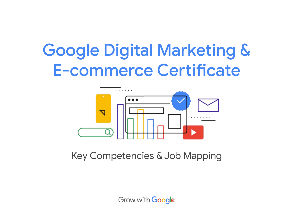# Google Digital Marketing & E-commerce Certificate



Key Competencies & Job Mapping

**Grow with Google**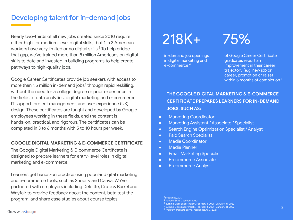### Developing talent for in-demand jobs

Nearly two-thirds of all new jobs created since 2010 require either high- or medium-level digital skills,<sup>1</sup> but 1 in 3 American workers have very limited or no digital skills.2 To help bridge that gap, we've trained more than 8 million Americans on digital skills to date and invested in building programs to help create pathways to high-quality jobs.

Google Career Certificates provide job seekers with access to more than 1.5 million in-demand jobs<sup>3</sup> through rapid reskilling, without the need for a college degree or prior experience in the fields of data analytics, digital marketing and e-commerce, IT support, project management, and user experience (UX) design. These certificates are taught and developed by Google employees working in these fields, and the content is hands-on, practical, and rigorous. The certificates can be completed in 3 to 6 months with 5 to 10 hours per week.

#### **GOOGLE DIGITAL MARKETING & E-COMMERCE CERTIFICATE**

The Google Digital Marketing & E-commerce Certificate is designed to prepare learners for entry-level roles in digital marketing and e-commerce.

Learners get hands-on practice using popular digital marketing and e-commerce tools, such as Shopify and Canva. We've partnered with employers including Deloitte, Crate & Barrel and Wayfair to provide feedback about the content, beta test the program, and share case studies about course topics.

## 218K+

in-demand job openings in digital marketing and e-commerce 4

## 75%

of Google Career Certificate graduates report an improvement in their career trajectory (e.g. new job or career, promotion or raise) within 6 months of completion<sup>5</sup>

**THE GOOGLE DIGITAL MARKETING & E-COMMERCE CERTIFICATE PREPARES LEARNERS FOR IN-DEMAND JOBS, SUCH AS:**

- **Marketing Coordinator**
- Marketing Assistant / Associate / Specialist
- Search Engine Optimization Specialist / Analyst
- **•** Paid Search Specialist
- Media Coordinator
- Media Planner
- **•** Email Marketing Specialist
- E-commerce Associate
- E-commerce Analyst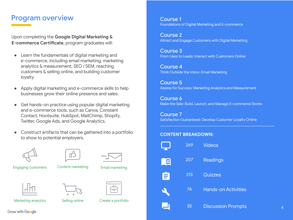### Program overview

Upon completing the **Google Digital Marketing & E-commerce Certificate**, program graduates will:

- Learn the fundamentals of digital marketing and e-commerce, including email marketing, marketing analytics & measurement, SEO / SEM, reaching customers & selling online, and building customer loyalty.
- Apply digital marketing and e-commerce skills to help businesses grow their online presence and sales.
- Get hands-on practice using popular digital marketing and e-commerce tools, such as Canva, Constant Contact, Hootsuite, HubSpot, MailChimp, Shopify, Twitter, Google Ads, and Google Analytics.
- Construct artifacts that can be gathered into a portfolio to show to potential employers.









Engaging customers

Content marketing

Email marketing



Marketing analytics





Selling online Create a portfolio

Course 1 Foundations of Digital Marketing and E-commerce

Course 2 Attract and Engage Customers with Digital Marketing

Course 3 From Likes to Leads: Interact with Customers Online

Course 4 Think Outside the Inbox: Email Marketing

Course 5 Assess for Success: Marketing Analytics and Measurement

Course 6 Make the Sale: Build, Launch, and Manage E-commerce Stores

Course 7 Satisfaction Guaranteed: Develop Customer Loyalty Online

 $\mathcal{L}_\text{G} = \{ \mathcal{L}_\text{G} = \{ \mathcal{L}_\text{G} = \{ \mathcal{L}_\text{G} = \{ \mathcal{L}_\text{G} = \{ \mathcal{L}_\text{G} = \{ \mathcal{L}_\text{G} = \{ \mathcal{L}_\text{G} = \{ \mathcal{L}_\text{G} = \{ \mathcal{L}_\text{G} = \{ \mathcal{L}_\text{G} = \{ \mathcal{L}_\text{G} = \{ \mathcal{L}_\text{G} = \{ \mathcal{L}_\text{G} = \{ \mathcal{L}_\text{G} = \{ \mathcal{L}_\text{G$ 

#### **CONTENT BREAKDOWN:**



Grow with **Google**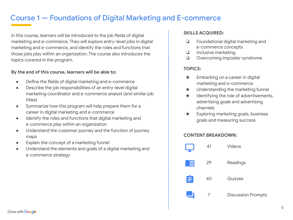## Course 1 — Foundations of Digital Marketing and E-commerce

In this course, learners will be introduced to the job fields of digital marketing and e-commerce. They will explore entry-level jobs in digital marketing and e-commerce, and identify the roles and functions that those jobs play within an organization. The course also introduces the topics covered in the program.

#### **By the end of this course, learners will be able to:**

- Define the fields of digital marketing and e-commerce
- Describe the job responsibilities of an entry-level digital marketing coordinator and e-commerce analyst (and similar job titles)
- Summarize how this program will help prepare them for a career in digital marketing and e-commerce
- Identify the roles and functions that digital marketing and e-commerce play within an organization
- Understand the customer journey and the function of journey maps
- Explain the concept of a marketing funnel
- Understand the elements and goals of a digital marketing and e-commerce strategy

#### **SKILLS ACQUIRED:**

- ❏ Foundational digital marketing and e-commerce concepts
- ❏ Inclusive marketing
- ❏ Overcoming imposter syndrome

#### **TOPICS:**

- $\star$  Embarking on a career in digital marketing and e-commerce
- ★ Understanding the marketing funnel
- $\star$  Identifying the role of advertisements, advertising goals and advertising channels
- $\star$  Exploring marketing goals, business goals and measuring success

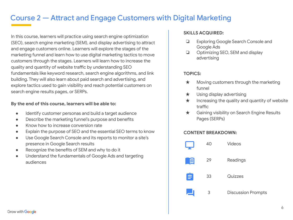## Course 2 — Attract and Engage Customers with Digital Marketing

In this course, learners will practice using search engine optimization (SEO), search engine marketing (SEM), and display advertising to attract and engage customers online. Learners will explore the stages of the marketing funnel and learn how to use digital marketing tactics to move customers through the stages. Learners will learn how to increase the quality and quantity of website traffic by understanding SEO fundamentals like keyword research, search engine algorithms, and link building. They will also learn about paid search and advertising, and explore tactics used to gain visibility and reach potential customers on search engine results pages, or SERPs.

#### **By the end of this course, learners will be able to:**

- Identify customer personas and build a target audience
- Describe the marketing funnel's purpose and benefits
- Know how to increase conversion rate
- Explain the purpose of SEO and the essential SEO terms to know
- Use Google Search Console and its reports to monitor a site's presence in Google Search results
- Recognize the benefits of SEM and why to do it
- Understand the fundamentals of Google Ads and targeting audiences

#### **SKILLS ACQUIRED:**

- ❏ Exploring Google Search Console and Google Ads
- ❏ Optimizing SEO, SEM and display advertising

#### **TOPICS:**

- $\star$  Moving customers through the marketing funnel
- ★ Using display advertising
- $\star$  Increasing the quality and quantity of website traffic
- ★ Gaining visibility on Search Engine Results Pages (SERPs)

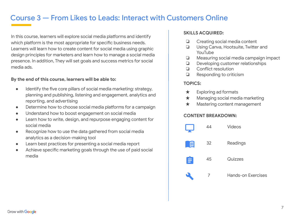## Course 3 — From Likes to Leads: Interact with Customers Online

In this course, learners will explore social media platforms and identify which platform is the most appropriate for specific business needs. Learners will learn how to create content for social media using graphic design principles for marketers and learn how to manage a social media presence. In addition, They will set goals and success metrics for social media ads.

#### **By the end of this course, learners will be able to:**

- Identify the five core pillars of social media marketing: strategy, planning and publishing, listening and engagement, analytics and reporting, and advertising
- Determine how to choose social media platforms for a campaign
- Understand how to boost engagement on social media
- Learn how to write, design, and repurpose engaging content for social media
- Recognize how to use the data gathered from social media analytics as a decision-making tool
- Learn best practices for presenting a social media report
- Achieve specific marketing goals through the use of paid social media

#### **SKILLS ACQUIRED:**

- ❏ Creating social media content
- ❏ Using Canva, Hootsuite, Twitter and YouTube
- ❏ Measuring social media campaign impact
- ❏ Developing customer relationships
- ❏ Conflict resolution
- ❏ Responding to criticism

#### **TOPICS:**

- $\star$  Exploring ad formats
- ★ Managing social media marketing
- ★ Mastering content management

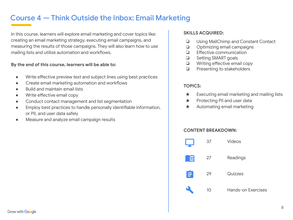## Course 4 — Think Outside the Inbox: Email Marketing

In this course, learners will explore email marketing and cover topics like: creating an email marketing strategy, executing email campaigns, and measuring the results of those campaigns. They will also learn how to use mailing lists and utilize automation and workflows.

#### **By the end of this course, learners will be able to:**

- Write effective preview text and subject lines using best practices
- Create email marketing automation and workflows
- Build and maintain email lists
- Write effective email copy
- Conduct contact management and list segmentation
- Employ best practices to handle personally identifiable information, or PII, and user data safely
- Measure and analyze email campaign results

#### **SKILLS ACQUIRED:**

- ❏ Using MailChimp and Constant Contact
- ❏ Optimizing email campaigns
- ❏ Effective communication
- ❏ Setting SMART goals
- ❏ Writing effective email copy
- ❏ Presenting to stakeholders

#### **TOPICS:**

- $\star$  Executing email marketing and mailing lists
- ★ Protecting PII and user data
- ★ Automating email marketing

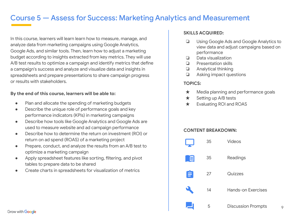## Course 5 — Assess for Success: Marketing Analytics and Measurement

In this course, learners will learn learn how to measure, manage, and analyze data from marketing campaigns using Google Analytics, Google Ads, and similar tools. Then, learn how to adjust a marketing budget according to insights extracted from key metrics. They will use A/B test results to optimize a campaign and identify metrics that define a campaign's success and analyze and visualize data and insights in spreadsheets and prepare presentations to share campaign progress or results with stakeholders.

#### **By the end of this course, learners will be able to:**

- Plan and allocate the spending of marketing budgets
- Describe the unique role of performance goals and key performance indicators (KPIs) in marketing campaigns
- Describe how tools like Google Analytics and Google Ads are used to measure website and ad campaign performance
- Describe how to determine the return on investment (ROI) or return on ad spend (ROAS) of a marketing project
- Prepare, conduct, and analyze the results from an A/B test to optimize a marketing campaign
- Apply spreadsheet features like sorting, filtering, and pivot tables to prepare data to be shared
- Create charts in spreadsheets for visualization of metrics

#### **SKILLS ACQUIRED:**

- ❏ Using Google Ads and Google Analytics to view data and adjust campaigns based on performance
- ❏ Data visualization
- ❏ Presentation skills
- ❏ Analytical thinking
- ❏ Asking impact questions

#### **TOPICS:**

- ★ Media planning and performance goals
- $\star$  Setting up A/B tests
- ★ Evaluating ROI and ROAS

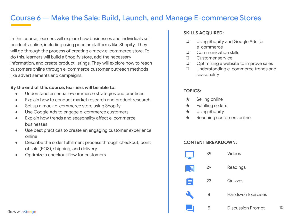## Course 6 — Make the Sale: Build, Launch, and Manage E-commerce Stores

In this course, learners will explore how businesses and individuals sell products online, including using popular platforms like Shopify. They will go through the process of creating a mock e-commerce store. To do this, learners will build a Shopify store, add the necessary information, and create product listings. They will explore how to reach customers online through e-commerce customer outreach methods like advertisements and campaigns.

#### **By the end of this course, learners will be able to:**

- Understand essential e-commerce strategies and practices
- Explain how to conduct market research and product research
- Set up a mock e-commerce store using Shopify
- Use Google Ads to engage e-commerce customers
- Explain how trends and seasonality affect e-commerce businesses
- Use best practices to create an engaging customer experience online
- Describe the order fulfillment process through checkout, point of sale (POS), shipping, and delivery.
- Optimize a checkout flow for customers

#### **SKILLS ACQUIRED:**

- ❏ Using Shopify and Google Ads for e-commerce
- ❏ Communication skills
- ❏ Customer service
- ❏ Optimizing a website to improve sales
- ❏ Understanding e-commerce trends and seasonality

#### **TOPICS:**

- ★ Selling online
- ★ Fulfilling orders
- ★ Using Shopify
- ★ Reaching customers online

#### **CONTENT BREAKDOWN:**



10